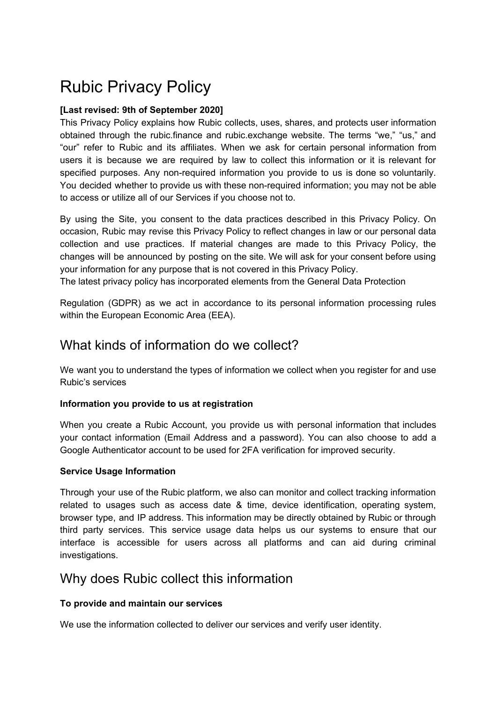# Rubic Privacy Policy

#### **[Last revised: 9th of September 2020]**

This Privacy Policy explains how Rubic collects, uses, shares, and protects user information obtained through the rubic.finance and rubic.exchange website. The terms "we," "us," and "our" refer to Rubic and its affiliates. When we ask for certain personal information from users it is because we are required by law to collect this information or it is relevant for specified purposes. Any non-required information you provide to us is done so voluntarily. You decided whether to provide us with these non-required information; you may not be able to access or utilize all of our Services if you choose not to.

By using the Site, you consent to the data practices described in this Privacy Policy. On occasion, Rubic may revise this Privacy Policy to reflect changes in law or our personal data collection and use practices. If material changes are made to this Privacy Policy, the changes will be announced by posting on the site. We will ask for your consent before using your information for any purpose that is not covered in this Privacy Policy.

The latest privacy policy has incorporated elements from the General Data Protection

Regulation (GDPR) as we act in accordance to its personal information processing rules within the European Economic Area (EEA).

### What kinds of information do we collect?

We want you to understand the types of information we collect when you register for and use Rubic's services

#### **Information you provide to us at registration**

When you create a Rubic Account, you provide us with personal information that includes your contact information (Email Address and a password). You can also choose to add a Google Authenticator account to be used for 2FA verification for improved security.

#### **Service Usage Information**

Through your use of the Rubic platform, we also can monitor and collect tracking information related to usages such as access date & time, device identification, operating system, browser type, and IP address. This information may be directly obtained by Rubic or through third party services. This service usage data helps us our systems to ensure that our interface is accessible for users across all platforms and can aid during criminal investigations.

### Why does Rubic collect this information

#### **To provide and maintain our services**

We use the information collected to deliver our services and verify user identity.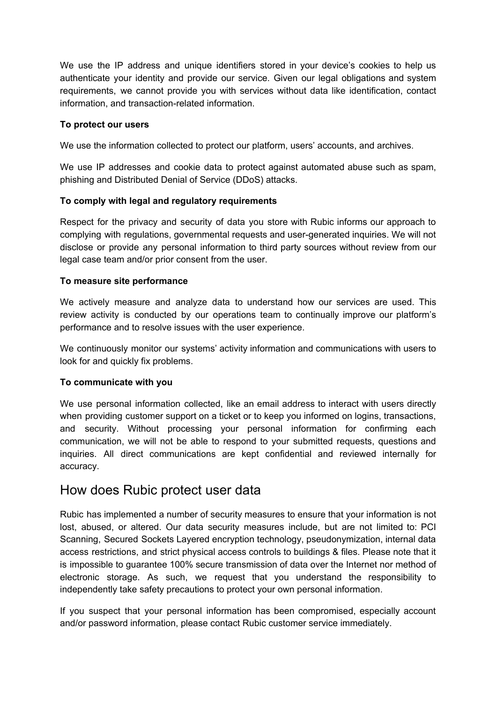We use the IP address and unique identifiers stored in your device's cookies to help us authenticate your identity and provide our service. Given our legal obligations and system requirements, we cannot provide you with services without data like identification, contact information, and transaction-related information.

#### **To protect our users**

We use the information collected to protect our platform, users' accounts, and archives.

We use IP addresses and cookie data to protect against automated abuse such as spam, phishing and Distributed Denial of Service (DDoS) attacks.

#### **To comply with legal and regulatory requirements**

Respect for the privacy and security of data you store with Rubic informs our approach to complying with regulations, governmental requests and user-generated inquiries. We will not disclose or provide any personal information to third party sources without review from our legal case team and/or prior consent from the user.

#### **To measure site performance**

We actively measure and analyze data to understand how our services are used. This review activity is conducted by our operations team to continually improve our platform's performance and to resolve issues with the user experience.

We continuously monitor our systems' activity information and communications with users to look for and quickly fix problems.

#### **To communicate with you**

We use personal information collected, like an email address to interact with users directly when providing customer support on a ticket or to keep you informed on logins, transactions, and security. Without processing your personal information for confirming each communication, we will not be able to respond to your submitted requests, questions and inquiries. All direct communications are kept confidential and reviewed internally for accuracy.

### How does Rubic protect user data

Rubic has implemented a number of security measures to ensure that your information is not lost, abused, or altered. Our data security measures include, but are not limited to: PCI Scanning, Secured Sockets Layered encryption technology, pseudonymization, internal data access restrictions, and strict physical access controls to buildings & files. Please note that it is impossible to guarantee 100% secure transmission of data over the Internet nor method of electronic storage. As such, we request that you understand the responsibility to independently take safety precautions to protect your own personal information.

If you suspect that your personal information has been compromised, especially account and/or password information, please contact Rubic customer service immediately.